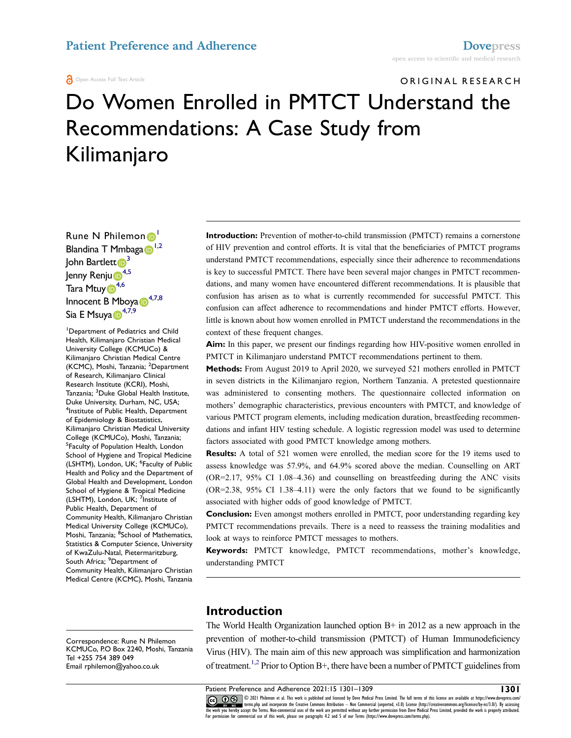#### Open Access Full Text Article

#### ORIGINAL RESEARCH

# Do Women Enrolled in PMTCT Understand the Recommendations: A Case Study from Kilimanjaro

Ru[n](http://orcid.org/0000-0002-4054-0760)e N Philemon<sup>1</sup> Blandina T Mmbaga D<sup>[1,](#page-0-0)[2](#page-0-1)</sup> John Bartlett<sup>3</sup> Jenny Renj[u](http://orcid.org/0000-0001-5650-1902)<sup>6[4](#page-0-3),5</sup> Tara Mtu[y](http://orcid.org/0000-0003-3436-0162) <sup>[4](#page-0-3),6</sup> Innocent B Mboy[a](http://orcid.org/0000-0001-9861-5879)<sup>1[,7](#page-0-6)[,8](#page-0-7)</sup> Si[a](http://orcid.org/0000-0003-2248-2058) E Msuya D<sup>[4](#page-0-3),[7,](#page-0-6)[9](#page-0-8)</sup>

<span id="page-0-5"></span><span id="page-0-4"></span><span id="page-0-3"></span><span id="page-0-2"></span><span id="page-0-1"></span><span id="page-0-0"></span>1 Department of Pediatrics and Child Health, Kilimanjaro Christian Medical University College (KCMUCo) & Kilimanjaro Christian Medical Centre (KCMC), Moshi, Tanzania; <sup>2</sup>Department of Research, Kilimanjaro Clinical Research Institute (KCRI), Moshi, Tanzania; <sup>3</sup> Duke Global Health Institute, Duke University, Durham, NC, USA; 4 Institute of Public Health, Department of Epidemiology & Biostatistics, Kilimanjaro Christian Medical University College (KCMUCo), Moshi, Tanzania; 5 Faculty of Population Health, London School of Hygiene and Tropical Medicine (LSHTM), London, UK; <sup>6</sup>Faculty of Public Health and Policy and the Department of Global Health and Development, London School of Hygiene & Tropical Medicine (LSHTM), London, UK; <sup>7</sup>Institute of Public Health, Department of Community Health, Kilimanjaro Christian Medical University College (KCMUCo), Moshi, Tanzania; <sup>8</sup>School of Mathematics, Statistics & Computer Science, University of KwaZulu-Natal, Pietermaritzburg, South Africa; <sup>9</sup>Department of Community Health, Kilimanjaro Christian Medical Centre (KCMC), Moshi, Tanzania

<span id="page-0-8"></span><span id="page-0-7"></span>Correspondence: Rune N Philemon KCMUCo, P.O Box 2240, Moshi, Tanzania Tel +255 754 389 049 Email [rphilemon@yahoo.co.uk](mailto:rphilemon@yahoo.co.uk)

**Introduction:** Prevention of mother-to-child transmission (PMTCT) remains a cornerstone of HIV prevention and control efforts. It is vital that the beneficiaries of PMTCT programs understand PMTCT recommendations, especially since their adherence to recommendations is key to successful PMTCT. There have been several major changes in PMTCT recommendations, and many women have encountered different recommendations. It is plausible that confusion has arisen as to what is currently recommended for successful PMTCT. This confusion can affect adherence to recommendations and hinder PMTCT efforts. However, little is known about how women enrolled in PMTCT understand the recommendations in the context of these frequent changes.

**Aim:** In this paper, we present our findings regarding how HIV-positive women enrolled in PMTCT in Kilimanjaro understand PMTCT recommendations pertinent to them.

**Methods:** From August 2019 to April 2020, we surveyed 521 mothers enrolled in PMTCT in seven districts in the Kilimanjaro region, Northern Tanzania. A pretested questionnaire was administered to consenting mothers. The questionnaire collected information on mothers' demographic characteristics, previous encounters with PMTCT, and knowledge of various PMTCT program elements, including medication duration, breastfeeding recommendations and infant HIV testing schedule. A logistic regression model was used to determine factors associated with good PMTCT knowledge among mothers.

**Results:** A total of 521 women were enrolled, the median score for the 19 items used to assess knowledge was 57.9%, and 64.9% scored above the median. Counselling on ART (OR=2.17, 95% CI 1.08–4.36) and counselling on breastfeeding during the ANC visits (OR=2.38, 95% CI 1.38–4.11) were the only factors that we found to be significantly associated with higher odds of good knowledge of PMTCT.

<span id="page-0-6"></span>**Conclusion:** Even amongst mothers enrolled in PMTCT, poor understanding regarding key PMTCT recommendations prevails. There is a need to reassess the training modalities and look at ways to reinforce PMTCT messages to mothers.

**Keywords:** PMTCT knowledge, PMTCT recommendations, mother's knowledge, understanding PMTCT

## **Introduction**

The World Health Organization launched option B+ in 2012 as a new approach in the prevention of mother-to-child transmission (PMTCT) of Human Immunodeficiency Virus (HIV). The main aim of this new approach was simplification and harmonization of treatment.<sup>1,2</sup> Prior to Option B+, there have been a number of PMTCT guidelines from

<span id="page-0-9"></span>Patient Preference and Adherence 2021:15 1301–1309 **1301** CC 3 3021 Philemon et al. This work is published and licensed by Dove Medical Press Limited. The full terms of this license are available at https://ww er and the masphy and incorporate the Creative Commons Attribution — Non Commercial (unported, v3.0) License (http://creativecommons.org/licenses/by-nc/3.0/). By accessing<br>the work you hereby accept the Terms. Non-commerci For permission for commercial use of this work, please see paragraphs 4.2 and 5 of our Terms (https://www.dovepress.com/terms.php).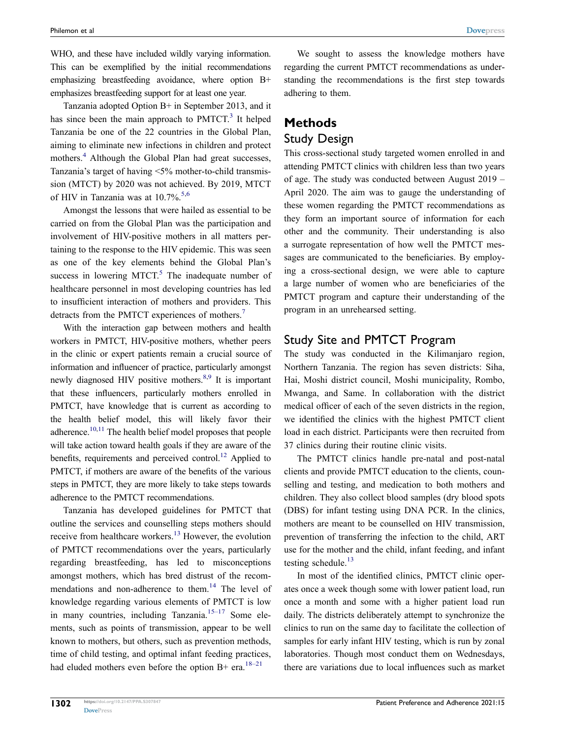WHO, and these have included wildly varying information. This can be exemplified by the initial recommendations emphasizing breastfeeding avoidance, where option B+ emphasizes breastfeeding support for at least one year.

<span id="page-1-1"></span><span id="page-1-0"></span>Tanzania adopted Option B+ in September 2013, and it has since been the main approach to  $PMTCT<sup>3</sup>$  It helped Tanzania be one of the 22 countries in the Global Plan, aiming to eliminate new infections in children and protect mothers.<sup>[4](#page-7-3)</sup> Although the Global Plan had great successes, Tanzania's target of having <5% mother-to-child transmission (MTCT) by 2020 was not achieved. By 2019, MTCT of HIV in Tanzania was at  $10.7\%$ .<sup>[5](#page-7-4),[6](#page-7-5)</sup>

<span id="page-1-3"></span>Amongst the lessons that were hailed as essential to be carried on from the Global Plan was the participation and involvement of HIV-positive mothers in all matters pertaining to the response to the HIV epidemic. This was seen as one of the key elements behind the Global Plan's success in lowering MTCT. $5$  The inadequate number of healthcare personnel in most developing countries has led to insufficient interaction of mothers and providers. This detracts from the PMTCT experiences of mothers.<sup>7</sup>

<span id="page-1-5"></span><span id="page-1-4"></span><span id="page-1-2"></span>With the interaction gap between mothers and health workers in PMTCT, HIV-positive mothers, whether peers in the clinic or expert patients remain a crucial source of information and influencer of practice, particularly amongst newly diagnosed HIV positive mothers.<sup>[8](#page-7-7),9</sup> It is important that these influencers, particularly mothers enrolled in PMTCT, have knowledge that is current as according to the health belief model, this will likely favor their adherence.<sup>10[,11](#page-7-10)</sup> The health belief model proposes that people will take action toward health goals if they are aware of the benefits, requirements and perceived control.<sup>12</sup> Applied to PMTCT, if mothers are aware of the benefits of the various steps in PMTCT, they are more likely to take steps towards adherence to the PMTCT recommendations.

<span id="page-1-11"></span><span id="page-1-10"></span><span id="page-1-9"></span><span id="page-1-7"></span><span id="page-1-6"></span>Tanzania has developed guidelines for PMTCT that outline the services and counselling steps mothers should receive from healthcare workers.<sup>13</sup> However, the evolution of PMTCT recommendations over the years, particularly regarding breastfeeding, has led to misconceptions amongst mothers, which has bred distrust of the recommendations and non-adherence to them.<sup>14</sup> The level of knowledge regarding various elements of PMTCT is low in many countries, including Tanzania. $15-17$  Some elements, such as points of transmission, appear to be well known to mothers, but others, such as prevention methods, time of child testing, and optimal infant feeding practices, had eluded mothers even before the option B+ era.<sup>[18–21](#page-8-2)</sup>

We sought to assess the knowledge mothers have regarding the current PMTCT recommendations as understanding the recommendations is the first step towards adhering to them.

# **Methods** Study Design

This cross-sectional study targeted women enrolled in and attending PMTCT clinics with children less than two years of age. The study was conducted between August 2019 – April 2020. The aim was to gauge the understanding of these women regarding the PMTCT recommendations as they form an important source of information for each other and the community. Their understanding is also a surrogate representation of how well the PMTCT messages are communicated to the beneficiaries. By employing a cross-sectional design, we were able to capture a large number of women who are beneficiaries of the PMTCT program and capture their understanding of the program in an unrehearsed setting.

## Study Site and PMTCT Program

The study was conducted in the Kilimanjaro region, Northern Tanzania. The region has seven districts: Siha, Hai, Moshi district council, Moshi municipality, Rombo, Mwanga, and Same. In collaboration with the district medical officer of each of the seven districts in the region, we identified the clinics with the highest PMTCT client load in each district. Participants were then recruited from 37 clinics during their routine clinic visits.

The PMTCT clinics handle pre-natal and post-natal clients and provide PMTCT education to the clients, counselling and testing, and medication to both mothers and children. They also collect blood samples (dry blood spots (DBS) for infant testing using DNA PCR. In the clinics, mothers are meant to be counselled on HIV transmission, prevention of transferring the infection to the child, ART use for the mother and the child, infant feeding, and infant testing schedule.<sup>13</sup>

<span id="page-1-8"></span>In most of the identified clinics, PMTCT clinic operates once a week though some with lower patient load, run once a month and some with a higher patient load run daily. The districts deliberately attempt to synchronize the clinics to run on the same day to facilitate the collection of samples for early infant HIV testing, which is run by zonal laboratories. Though most conduct them on Wednesdays, there are variations due to local influences such as market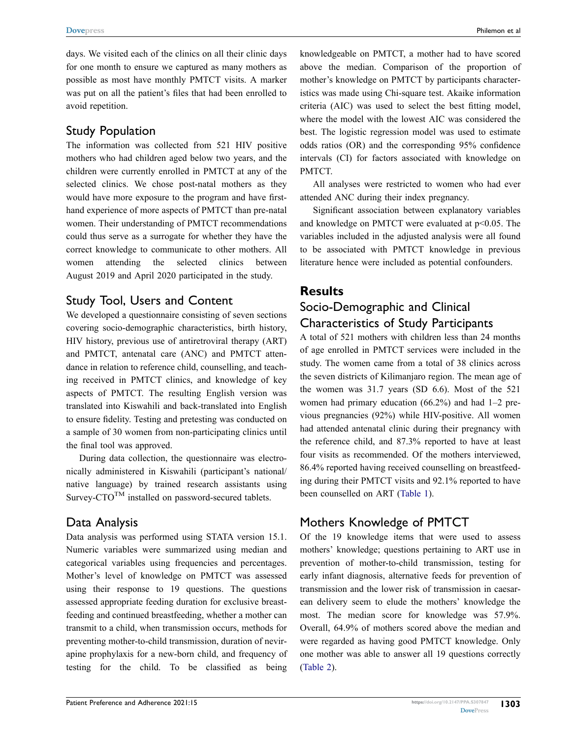days. We visited each of the clinics on all their clinic days for one month to ensure we captured as many mothers as possible as most have monthly PMTCT visits. A marker was put on all the patient's files that had been enrolled to avoid repetition.

## Study Population

The information was collected from 521 HIV positive mothers who had children aged below two years, and the children were currently enrolled in PMTCT at any of the selected clinics. We chose post-natal mothers as they would have more exposure to the program and have firsthand experience of more aspects of PMTCT than pre-natal women. Their understanding of PMTCT recommendations could thus serve as a surrogate for whether they have the correct knowledge to communicate to other mothers. All women attending the selected clinics between August 2019 and April 2020 participated in the study.

# Study Tool, Users and Content

We developed a questionnaire consisting of seven sections covering socio-demographic characteristics, birth history, HIV history, previous use of antiretroviral therapy (ART) and PMTCT, antenatal care (ANC) and PMTCT attendance in relation to reference child, counselling, and teaching received in PMTCT clinics, and knowledge of key aspects of PMTCT. The resulting English version was translated into Kiswahili and back-translated into English to ensure fidelity. Testing and pretesting was conducted on a sample of 30 women from non-participating clinics until the final tool was approved.

During data collection, the questionnaire was electronically administered in Kiswahili (participant's national/ native language) by trained research assistants using Survey-CTO<sup>TM</sup> installed on password-secured tablets.

# Data Analysis

Data analysis was performed using STATA version 15.1. Numeric variables were summarized using median and categorical variables using frequencies and percentages. Mother's level of knowledge on PMTCT was assessed using their response to 19 questions. The questions assessed appropriate feeding duration for exclusive breastfeeding and continued breastfeeding, whether a mother can transmit to a child, when transmission occurs, methods for preventing mother-to-child transmission, duration of nevirapine prophylaxis for a new-born child, and frequency of testing for the child. To be classified as being

knowledgeable on PMTCT, a mother had to have scored above the median. Comparison of the proportion of mother's knowledge on PMTCT by participants characteristics was made using Chi-square test. Akaike information criteria (AIC) was used to select the best fitting model, where the model with the lowest AIC was considered the best. The logistic regression model was used to estimate odds ratios (OR) and the corresponding 95% confidence intervals (CI) for factors associated with knowledge on PMTCT.

All analyses were restricted to women who had ever attended ANC during their index pregnancy.

Significant association between explanatory variables and knowledge on PMTCT were evaluated at  $p<0.05$ . The variables included in the adjusted analysis were all found to be associated with PMTCT knowledge in previous literature hence were included as potential confounders.

# **Results**

# Socio-Demographic and Clinical Characteristics of Study Participants

A total of 521 mothers with children less than 24 months of age enrolled in PMTCT services were included in the study. The women came from a total of 38 clinics across the seven districts of Kilimanjaro region. The mean age of the women was 31.7 years (SD 6.6). Most of the 521 women had primary education (66.2%) and had 1–2 previous pregnancies (92%) while HIV-positive. All women had attended antenatal clinic during their pregnancy with the reference child, and 87.3% reported to have at least four visits as recommended. Of the mothers interviewed, 86.4% reported having received counselling on breastfeeding during their PMTCT visits and 92.1% reported to have been counselled on ART [\(Table 1\)](#page-3-0).

# Mothers Knowledge of PMTCT

Of the 19 knowledge items that were used to assess mothers' knowledge; questions pertaining to ART use in prevention of mother-to-child transmission, testing for early infant diagnosis, alternative feeds for prevention of transmission and the lower risk of transmission in caesarean delivery seem to elude the mothers' knowledge the most. The median score for knowledge was 57.9%. Overall, 64.9% of mothers scored above the median and were regarded as having good PMTCT knowledge. Only one mother was able to answer all 19 questions correctly [\(Table 2](#page-4-0)).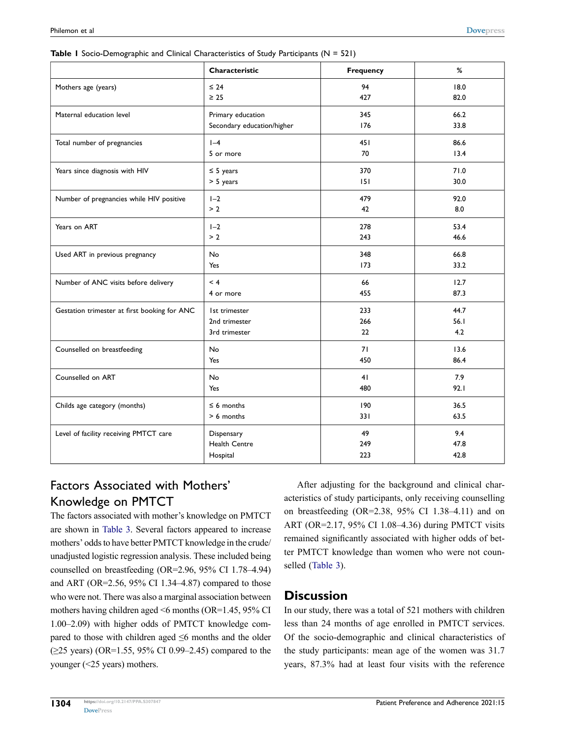|                                              | Characteristic                                  | Frequency        | %                   |  |
|----------------------------------------------|-------------------------------------------------|------------------|---------------------|--|
| Mothers age (years)                          | $\leq 24$<br>$\geq 25$                          | 18.0<br>82.0     |                     |  |
| Maternal education level                     | Primary education<br>Secondary education/higher | 66.2<br>33.8     |                     |  |
| Total number of pregnancies                  | $I - 4$<br>5 or more                            | 86.6<br>13.4     |                     |  |
| Years since diagnosis with HIV               | $\leq$ 5 years<br>$> 5$ years                   | 71.0<br>30.0     |                     |  |
| Number of pregnancies while HIV positive     | $I - 2$<br>> 2                                  | 479<br>42        | 92.0<br>8.0         |  |
| Years on ART                                 | $1-2$<br>278<br>> 2<br>243                      |                  | 53.4<br>46.6        |  |
| Used ART in previous pregnancy               | 348<br>No<br>Yes<br>173                         |                  | 66.8<br>33.2        |  |
| Number of ANC visits before delivery         | < 4<br>4 or more                                | 66<br>455        | 12.7<br>87.3        |  |
| Gestation trimester at first booking for ANC | Ist trimester<br>2nd trimester<br>3rd trimester | 233<br>266<br>22 | 44.7<br>56.1<br>4.2 |  |
| Counselled on breastfeeding                  | No<br>Yes                                       | 71<br>450        | 13.6<br>86.4        |  |
| Counselled on ART                            | No<br>41<br>480<br>Yes                          |                  | 7.9<br>92.1         |  |
| Childs age category (months)                 | $\leq 6$ months<br>190<br>> 6 months<br>331     |                  | 36.5<br>63.5        |  |
| Level of facility receiving PMTCT care       | Dispensary<br><b>Health Centre</b><br>Hospital  | 49<br>249<br>223 | 9.4<br>47.8<br>42.8 |  |

<span id="page-3-0"></span>**Table 1** Socio-Demographic and Clinical Characteristics of Study Participants (N = 521)

# Factors Associated with Mothers' Knowledge on PMTCT

The factors associated with mother's knowledge on PMTCT are shown in [Table 3.](#page-5-0) Several factors appeared to increase mothers' odds to have better PMTCT knowledge in the crude/ unadjusted logistic regression analysis. These included being counselled on breastfeeding (OR=2.96, 95% CI 1.78–4.94) and ART (OR=2.56, 95% CI 1.34–4.87) compared to those who were not. There was also a marginal association between mothers having children aged <6 months (OR=1.45, 95% CI 1.00–2.09) with higher odds of PMTCT knowledge compared to those with children aged  $\leq 6$  months and the older (≥25 years) (OR=1.55, 95% CI 0.99–2.45) compared to the younger (<25 years) mothers.

After adjusting for the background and clinical characteristics of study participants, only receiving counselling on breastfeeding (OR=2.38, 95% CI 1.38–4.11) and on ART (OR=2.17, 95% CI 1.08–4.36) during PMTCT visits remained significantly associated with higher odds of better PMTCT knowledge than women who were not counselled ([Table 3](#page-5-0)).

## **Discussion**

In our study, there was a total of 521 mothers with children less than 24 months of age enrolled in PMTCT services. Of the socio-demographic and clinical characteristics of the study participants: mean age of the women was 31.7 years, 87.3% had at least four visits with the reference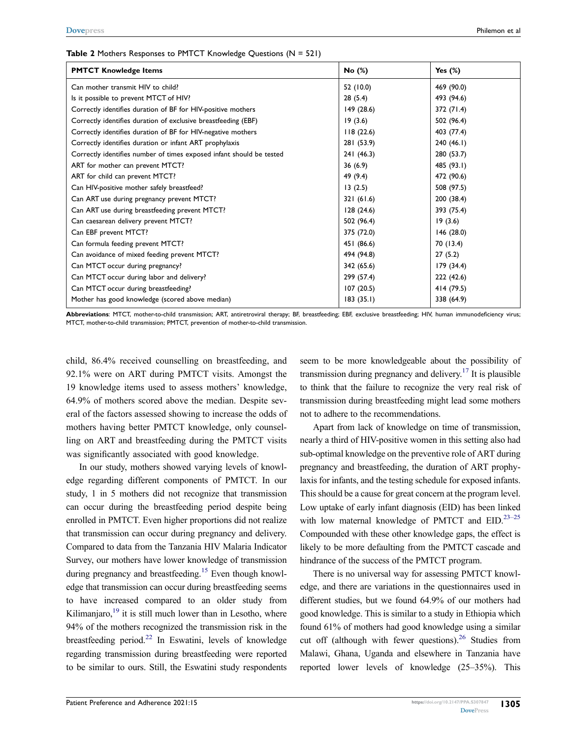| <b>PMTCT Knowledge Items</b>                                         | No (%)     | Yes $(\%)$ |
|----------------------------------------------------------------------|------------|------------|
| Can mother transmit HIV to child?                                    | 52 (10.0)  | 469 (90.0) |
| Is it possible to prevent MTCT of HIV?                               | 28(5.4)    | 493 (94.6) |
| Correctly identifies duration of BF for HIV-positive mothers         | 149(28.6)  | 372 (71.4) |
| Correctly identifies duration of exclusive breastfeeding (EBF)       | 19(3.6)    | 502 (96.4) |
| Correctly identifies duration of BF for HIV-negative mothers         | 118(22.6)  | 403 (77.4) |
| Correctly identifies duration or infant ART prophylaxis              | 281 (53.9) | 240(46.1)  |
| Correctly identifies number of times exposed infant should be tested | 241(46.3)  | 280 (53.7) |
| ART for mother can prevent MTCT?                                     | 36(6.9)    | 485 (93.1) |
| ART for child can prevent MTCT?                                      | 49 (9.4)   | 472 (90.6) |
| Can HIV-positive mother safely breastfeed?                           | 13(2.5)    | 508 (97.5) |
| Can ART use during pregnancy prevent MTCT?                           | 321(61.6)  | 200 (38.4) |
| Can ART use during breastfeeding prevent MTCT?                       | 128(24.6)  | 393 (75.4) |
| Can caesarean delivery prevent MTCT?                                 | 502 (96.4) | 19(3.6)    |
| Can EBF prevent MTCT?                                                | 375 (72.0) | 146(28.0)  |
| Can formula feeding prevent MTCT?                                    | 451 (86.6) | 70 (13.4)  |
| Can avoidance of mixed feeding prevent MTCT?                         | 494 (94.8) | 27(5.2)    |
| Can MTCT occur during pregnancy?                                     | 342 (65.6) | 179(34.4)  |
| Can MTCT occur during labor and delivery?                            | 299 (57.4) | 222 (42.6) |
| Can MTCT occur during breastfeeding?                                 | 107(20.5)  | 414 (79.5) |
| Mother has good knowledge (scored above median)                      | 183(35.1)  | 338 (64.9) |

#### <span id="page-4-0"></span>**Table 2** Mothers Responses to PMTCT Knowledge Questions (N = 521)

**Abbreviations**: MTCT, mother-to-child transmission; ART, antiretroviral therapy; BF, breastfeeding; EBF, exclusive breastfeeding; HIV, human immunodeficiency virus; MTCT, mother-to-child transmission; PMTCT, prevention of mother-to-child transmission.

child, 86.4% received counselling on breastfeeding, and 92.1% were on ART during PMTCT visits. Amongst the 19 knowledge items used to assess mothers' knowledge, 64.9% of mothers scored above the median. Despite several of the factors assessed showing to increase the odds of mothers having better PMTCT knowledge, only counselling on ART and breastfeeding during the PMTCT visits was significantly associated with good knowledge.

<span id="page-4-3"></span><span id="page-4-2"></span>In our study, mothers showed varying levels of knowledge regarding different components of PMTCT. In our study, 1 in 5 mothers did not recognize that transmission can occur during the breastfeeding period despite being enrolled in PMTCT. Even higher proportions did not realize that transmission can occur during pregnancy and delivery. Compared to data from the Tanzania HIV Malaria Indicator Survey, our mothers have lower knowledge of transmission during pregnancy and breastfeeding.<sup>[15](#page-8-1)</sup> Even though knowledge that transmission can occur during breastfeeding seems to have increased compared to an older study from Kilimanjaro, $19$  it is still much lower than in Lesotho, where 94% of the mothers recognized the transmission risk in the breastfeeding period. $22$  In Eswatini, levels of knowledge regarding transmission during breastfeeding were reported to be similar to ours. Still, the Eswatini study respondents

<span id="page-4-1"></span>seem to be more knowledgeable about the possibility of transmission during pregnancy and delivery.<sup>17</sup> It is plausible to think that the failure to recognize the very real risk of transmission during breastfeeding might lead some mothers not to adhere to the recommendations.

Apart from lack of knowledge on time of transmission, nearly a third of HIV-positive women in this setting also had sub-optimal knowledge on the preventive role of ART during pregnancy and breastfeeding, the duration of ART prophylaxis for infants, and the testing schedule for exposed infants. This should be a cause for great concern at the program level. Low uptake of early infant diagnosis (EID) has been linked with low maternal knowledge of PMTCT and  $EID$ .  $23-25$ Compounded with these other knowledge gaps, the effect is likely to be more defaulting from the PMTCT cascade and hindrance of the success of the PMTCT program.

<span id="page-4-5"></span><span id="page-4-4"></span>There is no universal way for assessing PMTCT knowledge, and there are variations in the questionnaires used in different studies, but we found 64.9% of our mothers had good knowledge. This is similar to a study in Ethiopia which found 61% of mothers had good knowledge using a similar cut off (although with fewer questions). $^{26}$  Studies from Malawi, Ghana, Uganda and elsewhere in Tanzania have reported lower levels of knowledge (25–35%). This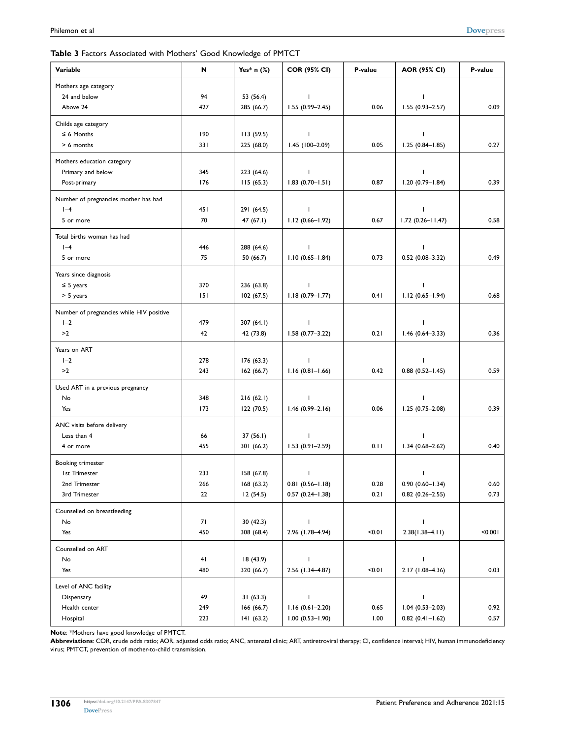#### <span id="page-5-0"></span>**Table 3** Factors Associated with Mothers' Good Knowledge of PMTCT

| Variable                                 | N   | Yes* $n$ (%) | <b>COR (95% CI)</b> | P-value | <b>AOR (95% CI)</b>    | P-value |
|------------------------------------------|-----|--------------|---------------------|---------|------------------------|---------|
| Mothers age category                     |     |              |                     |         |                        |         |
| 24 and below                             | 94  | 53 (56.4)    | J.                  |         | $\mathbf{I}$           |         |
| Above 24                                 | 427 | 285 (66.7)   | $1.55(0.99 - 2.45)$ | 0.06    | $1.55(0.93 - 2.57)$    | 0.09    |
| Childs age category                      |     |              |                     |         |                        |         |
| $\leq 6$ Months                          | 190 | 113(59.5)    | $\mathbf{I}$        |         | $\mathbf{I}$           |         |
| > 6 months                               | 331 | 225 (68.0)   | $1.45(100-2.09)$    | 0.05    | $1.25(0.84 - 1.85)$    | 0.27    |
| Mothers education category               |     |              |                     |         |                        |         |
| Primary and below                        | 345 | 223 (64.6)   | $\mathbf{I}$        |         | $\mathbf{I}$           |         |
| Post-primary                             | 176 | 115(65.3)    | $1.83(0.70 - 1.51)$ | 0.87    | $1.20(0.79 - 1.84)$    | 0.39    |
| Number of pregnancies mother has had     |     |              |                     |         |                        |         |
| $I - 4$                                  | 451 | 291 (64.5)   | $\mathbf{I}$        |         | J.                     |         |
| 5 or more                                | 70  | 47 (67.1)    | $1.12(0.66 - 1.92)$ | 0.67    | $1.72(0.26 - 11.47)$   | 0.58    |
| Total births woman has had               |     |              |                     |         |                        |         |
| $I - 4$                                  | 446 | 288 (64.6)   | $\mathbf{I}$        |         | $\mathbf{I}$           |         |
| 5 or more                                | 75  | 50(66.7)     | $1.10(0.65 - 1.84)$ | 0.73    | $0.52(0.08 - 3.32)$    | 0.49    |
| Years since diagnosis                    |     |              |                     |         |                        |         |
| $\leq$ 5 years                           | 370 | 236 (63.8)   | J.                  |         | $\mathbf{I}$           |         |
| > 5 years                                | 151 | 102(67.5)    | $1.18(0.79 - 1.77)$ | 0.41    | $1.12(0.65 - 1.94)$    | 0.68    |
| Number of pregnancies while HIV positive |     |              |                     |         |                        |         |
| $I - 2$                                  | 479 | 307 $(64.1)$ | $\overline{1}$      |         | $\mathbf{I}$           |         |
| >2                                       | 42  | 42 (73.8)    | $1.58(0.77 - 3.22)$ | 0.21    | $1.46(0.64 - 3.33)$    | 0.36    |
| Years on ART                             |     |              |                     |         |                        |         |
| $I - 2$                                  | 278 | 176(63.3)    | $\mathbf{I}$        |         | $\mathbf{I}$           |         |
| >2                                       | 243 | 162(66.7)    | $1.16(0.81 - 1.66)$ | 0.42    | $0.88$ $(0.52 - 1.45)$ | 0.59    |
| Used ART in a previous pregnancy         |     |              |                     |         |                        |         |
| No                                       | 348 | 216(62.1)    | $\mathbf{I}$        |         | $\mathbf{I}$           |         |
| Yes                                      | 173 | 122 (70.5)   | $1.46(0.99 - 2.16)$ | 0.06    | $1.25(0.75 - 2.08)$    | 0.39    |
| ANC visits before delivery               |     |              |                     |         |                        |         |
| Less than 4                              | 66  | 37(56.1)     | $\mathbf{I}$        |         | $\mathbf{I}$           |         |
| 4 or more                                | 455 | 301 (66.2)   | $1.53(0.91 - 2.59)$ | 0.11    | $1.34(0.68 - 2.62)$    | 0.40    |
| Booking trimester                        |     |              |                     |         |                        |         |
| <b>Ist Trimester</b>                     | 233 | 158 (67.8)   | T                   |         | T                      |         |
| 2nd Trimester                            | 266 | 168 (63.2)   | $0.81(0.56 - 1.18)$ | 0.28    | $0.90(0.60 - 1.34)$    | 0.60    |
| 3rd Trimester                            | 22  | 12(54.5)     | $0.57(0.24 - 1.38)$ | 0.21    | $0.82$ $(0.26 - 2.55)$ | 0.73    |
| Counselled on breastfeeding              |     |              |                     |         |                        |         |
| No                                       | 71  | 30(42.3)     | $\mathbf{I}$        |         | I                      |         |
| Yes                                      | 450 | 308 (68.4)   | 2.96 (1.78-4.94)    | 10.0    | $2.38(1.38 - 4.11)$    | < 0.001 |
| Counselled on ART                        |     |              |                     |         |                        |         |
| No                                       | 41  | 18 (43.9)    | J.                  |         | $\mathbf{I}$           |         |
| Yes                                      | 480 | 320 (66.7)   | 2.56 (1.34-4.87)    | 10.0    | 2.17 (1.08-4.36)       | 0.03    |
| Level of ANC facility                    |     |              |                     |         |                        |         |
| Dispensary                               | 49  | 31(63.3)     | T                   |         | $\mathbf{I}$           |         |
| Health center                            | 249 | 166 (66.7)   | $1.16(0.61 - 2.20)$ | 0.65    | $1.04(0.53 - 2.03)$    | 0.92    |
| Hospital                                 | 223 | 141(63.2)    | $1.00(0.53 - 1.90)$ | 1.00    | $0.82 (0.41 - 1.62)$   | 0.57    |

**Note**: \*Mothers have good knowledge of PMTCT.

**Abbreviations**: COR, crude odds ratio; AOR, adjusted odds ratio; ANC, antenatal clinic; ART, antiretroviral therapy; CI, confidence interval; HIV, human immunodeficiency virus; PMTCT, prevention of mother-to-child transmission.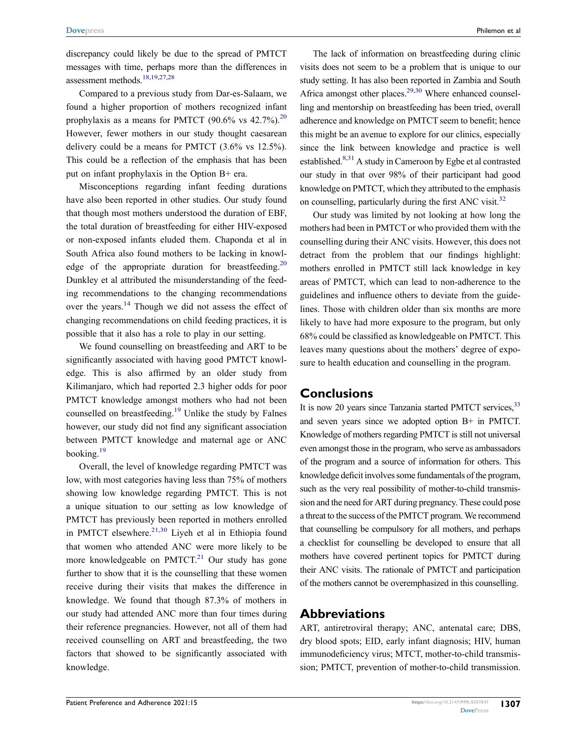discrepancy could likely be due to the spread of PMTCT messages with time, perhaps more than the differences in assessment methods.[18](#page-8-2),[19](#page-8-3),[27](#page-8-8)[,28](#page-8-9)

<span id="page-6-1"></span>Compared to a previous study from Dar-es-Salaam, we found a higher proportion of mothers recognized infant prophylaxis as a means for PMTCT (90.6% vs  $42.7\%$ ).<sup>20</sup> However, fewer mothers in our study thought caesarean delivery could be a means for PMTCT (3.6% vs 12.5%). This could be a reflection of the emphasis that has been put on infant prophylaxis in the Option B+ era.

Misconceptions regarding infant feeding durations have also been reported in other studies. Our study found that though most mothers understood the duration of EBF, the total duration of breastfeeding for either HIV-exposed or non-exposed infants eluded them. Chaponda et al in South Africa also found mothers to be lacking in knowledge of the appropriate duration for breastfeeding.<sup>20</sup> Dunkley et al attributed the misunderstanding of the feeding recommendations to the changing recommendations over the years.<sup>14</sup> Though we did not assess the effect of changing recommendations on child feeding practices, it is possible that it also has a role to play in our setting.

We found counselling on breastfeeding and ART to be significantly associated with having good PMTCT knowledge. This is also affirmed by an older study from Kilimanjaro, which had reported 2.3 higher odds for poor PMTCT knowledge amongst mothers who had not been counselled on breastfeeding.[19](#page-8-3) Unlike the study by Falnes however, our study did not find any significant association between PMTCT knowledge and maternal age or ANC booking. $19$ 

<span id="page-6-0"></span>Overall, the level of knowledge regarding PMTCT was low, with most categories having less than 75% of mothers showing low knowledge regarding PMTCT. This is not a unique situation to our setting as low knowledge of PMTCT has previously been reported in mothers enrolled in PMTCT elsewhere. $21,30$  $21,30$  Liyeh et al in Ethiopia found that women who attended ANC were more likely to be more knowledgeable on PMTCT.<sup>21</sup> Our study has gone further to show that it is the counselling that these women receive during their visits that makes the difference in knowledge. We found that though 87.3% of mothers in our study had attended ANC more than four times during their reference pregnancies. However, not all of them had received counselling on ART and breastfeeding, the two factors that showed to be significantly associated with knowledge.

<span id="page-6-2"></span>The lack of information on breastfeeding during clinic visits does not seem to be a problem that is unique to our study setting. It has also been reported in Zambia and South Africa amongst other places.<sup>29,30</sup> Where enhanced counselling and mentorship on breastfeeding has been tried, overall adherence and knowledge on PMTCT seem to benefit; hence this might be an avenue to explore for our clinics, especially since the link between knowledge and practice is well established.<sup>8,[31](#page-8-14)</sup> A study in Cameroon by Egbe et al contrasted our study in that over 98% of their participant had good knowledge on PMTCT, which they attributed to the emphasis on counselling, particularly during the first ANC visit.<sup>32</sup>

<span id="page-6-4"></span><span id="page-6-3"></span>Our study was limited by not looking at how long the mothers had been in PMTCT or who provided them with the counselling during their ANC visits. However, this does not detract from the problem that our findings highlight: mothers enrolled in PMTCT still lack knowledge in key areas of PMTCT, which can lead to non-adherence to the guidelines and influence others to deviate from the guidelines. Those with children older than six months are more likely to have had more exposure to the program, but only 68% could be classified as knowledgeable on PMTCT. This leaves many questions about the mothers' degree of exposure to health education and counselling in the program.

## **Conclusions**

<span id="page-6-5"></span>It is now 20 years since Tanzania started PMTCT services, <sup>33</sup> and seven years since we adopted option B+ in PMTCT. Knowledge of mothers regarding PMTCT is still not universal even amongst those in the program, who serve as ambassadors of the program and a source of information for others. This knowledge deficit involves some fundamentals of the program, such as the very real possibility of mother-to-child transmission and the need for ART during pregnancy. These could pose a threat to the success of the PMTCT program. We recommend that counselling be compulsory for all mothers, and perhaps a checklist for counselling be developed to ensure that all mothers have covered pertinent topics for PMTCT during their ANC visits. The rationale of PMTCT and participation of the mothers cannot be overemphasized in this counselling.

### **Abbreviations**

ART, antiretroviral therapy; ANC, antenatal care; DBS, dry blood spots; EID, early infant diagnosis; HIV, human immunodeficiency virus; MTCT, mother-to-child transmission; PMTCT, prevention of mother-to-child transmission.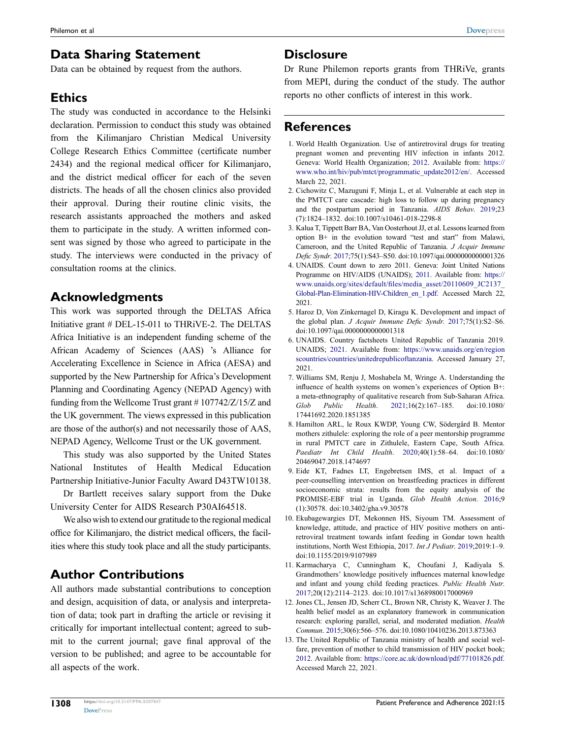Data can be obtained by request from the authors.

# **Ethics**

The study was conducted in accordance to the Helsinki declaration. Permission to conduct this study was obtained from the Kilimanjaro Christian Medical University College Research Ethics Committee (certificate number 2434) and the regional medical officer for Kilimanjaro, and the district medical officer for each of the seven districts. The heads of all the chosen clinics also provided their approval. During their routine clinic visits, the research assistants approached the mothers and asked them to participate in the study. A written informed consent was signed by those who agreed to participate in the study. The interviews were conducted in the privacy of consultation rooms at the clinics.

# **Acknowledgments**

This work was supported through the DELTAS Africa Initiative grant # DEL-15-011 to THRiVE-2. The DELTAS Africa Initiative is an independent funding scheme of the African Academy of Sciences (AAS) 's Alliance for Accelerating Excellence in Science in Africa (AESA) and supported by the New Partnership for Africa's Development Planning and Coordinating Agency (NEPAD Agency) with funding from the Wellcome Trust grant # 107742/Z/15/Z and the UK government. The views expressed in this publication are those of the author(s) and not necessarily those of AAS, NEPAD Agency, Wellcome Trust or the UK government.

This study was also supported by the United States National Institutes of Health Medical Education Partnership Initiative-Junior Faculty Award D43TW10138.

Dr Bartlett receives salary support from the Duke University Center for AIDS Research P30AI64518.

We also wish to extend our gratitude to the regional medical office for Kilimanjaro, the district medical officers, the facilities where this study took place and all the study participants.

# **Author Contributions**

All authors made substantial contributions to conception and design, acquisition of data, or analysis and interpretation of data; took part in drafting the article or revising it critically for important intellectual content; agreed to submit to the current journal; gave final approval of the version to be published; and agree to be accountable for all aspects of the work.

## **Disclosure**

Dr Rune Philemon reports grants from THRiVe, grants from MEPI, during the conduct of the study. The author reports no other conflicts of interest in this work.

## **References**

- <span id="page-7-0"></span>1. World Health Organization. Use of antiretroviral drugs for treating pregnant women and preventing HIV infection in infants 2012. Geneva: World Health Organization; [2012.](#page-0-9) Available from: [https://](https://www.who.int/hiv/pub/mtct/programmatic_update2012/en/) [www.who.int/hiv/pub/mtct/programmatic\\_update2012/en/](https://www.who.int/hiv/pub/mtct/programmatic_update2012/en/). Accessed March 22, 2021.
- <span id="page-7-1"></span>2. Cichowitz C, Mazuguni F, Minja L, et al. Vulnerable at each step in the PMTCT care cascade: high loss to follow up during pregnancy and the postpartum period in Tanzania. *AIDS Behav*. [2019](#page-0-9);23 (7):1824–1832. doi:[10.1007/s10461-018-2298-8](https://doi.org/10.1007/s10461-018-2298-8)
- <span id="page-7-2"></span>3. Kalua T, Tippett Barr BA, Van Oosterhout JJ, et al. Lessons learned from option B+ in the evolution toward "test and start" from Malawi, Cameroon, and the United Republic of Tanzania. *J Acquir Immune Defic Syndr*. [2017;](#page-1-0)75(1):S43–S50. doi:[10.1097/qai.0000000000001326](https://doi.org/10.1097/qai.0000000000001326)
- <span id="page-7-3"></span>4. UNAIDS. Count down to zero 2011. Geneva: Joint United Nations Programme on HIV/AIDS (UNAIDS); [2011](#page-1-1). Available from: [https://](https://www.unaids.org/sites/default/files/media_asset/20110609_JC2137_Global-Plan-Elimination-HIV-Children_en_1.pdf) [www.unaids.org/sites/default/files/media\\_asset/20110609\\_JC2137\\_](https://www.unaids.org/sites/default/files/media_asset/20110609_JC2137_Global-Plan-Elimination-HIV-Children_en_1.pdf)  [Global-Plan-Elimination-HIV-Children\\_en\\_1.pdf](https://www.unaids.org/sites/default/files/media_asset/20110609_JC2137_Global-Plan-Elimination-HIV-Children_en_1.pdf). Accessed March 22, 2021.
- <span id="page-7-4"></span>5. Haroz D, Von Zinkernagel D, Kiragu K. Development and impact of the global plan. *J Acquir Immune Defic Syndr*. [2017;](#page-1-2)75(1):S2–S6. doi:[10.1097/qai.0000000000001318](https://doi.org/10.1097/qai.0000000000001318)
- <span id="page-7-5"></span>6. UNAIDS. Country factsheets United Republic of Tanzania 2019. UNAIDS; [2021](#page-1-3). Available from: [https://www.unaids.org/en/region](https://www.unaids.org/en/regionscountries/countries/unitedrepublicoftanzania) [scountries/countries/unitedrepublicoftanzania](https://www.unaids.org/en/regionscountries/countries/unitedrepublicoftanzania). Accessed January 27, 2021.
- <span id="page-7-6"></span>7. Williams SM, Renju J, Moshabela M, Wringe A. Understanding the influence of health systems on women's experiences of Option B+: a meta-ethnography of qualitative research from Sub-Saharan Africa. *Glob Public Health*. [2021](#page-1-4);16(2):167–185. doi:[10.1080/](https://doi.org/10.1080/17441692.2020.1851385) [17441692.2020.1851385](https://doi.org/10.1080/17441692.2020.1851385)
- <span id="page-7-7"></span>8. Hamilton ARL, le Roux KWDP, Young CW, Södergård B. Mentor mothers zithulele: exploring the role of a peer mentorship programme in rural PMTCT care in Zithulele, Eastern Cape, South Africa. *Paediatr Int Child Health*. [2020;](#page-1-5)40(1):58–64. doi:[10.1080/](https://doi.org/10.1080/20469047.2018.1474697) [20469047.2018.1474697](https://doi.org/10.1080/20469047.2018.1474697)
- <span id="page-7-8"></span>9. Eide KT, Fadnes LT, Engebretsen IMS, et al. Impact of a peer-counselling intervention on breastfeeding practices in different socioeconomic strata: results from the equity analysis of the PROMISE-EBF trial in Uganda. *Glob Health Action*. [2016](#page-1-5);9 (1):30578. doi:[10.3402/gha.v9.30578](https://doi.org/10.3402/gha.v9.30578)
- <span id="page-7-9"></span>10. Ekubagewargies DT, Mekonnen HS, Siyoum TM. Assessment of knowledge, attitude, and practice of HIV positive mothers on antiretroviral treatment towards infant feeding in Gondar town health institutions, North West Ethiopia, 2017. *Int J Pediatr*. [2019;](#page-1-6)2019:1–9. doi:[10.1155/2019/9107989](https://doi.org/10.1155/2019/9107989)
- <span id="page-7-10"></span>11. Karmacharya C, Cunningham K, Choufani J, Kadiyala S. Grandmothers' knowledge positively influences maternal knowledge and infant and young child feeding practices. *Public Health Nutr*. [2017](#page-1-6);20(12):2114–2123. doi:[10.1017/s1368980017000969](https://doi.org/10.1017/s1368980017000969)
- <span id="page-7-11"></span>12. Jones CL, Jensen JD, Scherr CL, Brown NR, Christy K, Weaver J. The health belief model as an explanatory framework in communication research: exploring parallel, serial, and moderated mediation. *Health Commun*. [2015;](#page-1-7)30(6):566–576. doi:[10.1080/10410236.2013.873363](https://doi.org/10.1080/10410236.2013.873363)
- <span id="page-7-12"></span>13. The United Republic of Tanzania ministry of health and social welfare, prevention of mother to child transmission of HIV pocket book; [2012](#page-1-8). Available from: <https://core.ac.uk/download/pdf/77101826.pdf>. Accessed March 22, 2021.